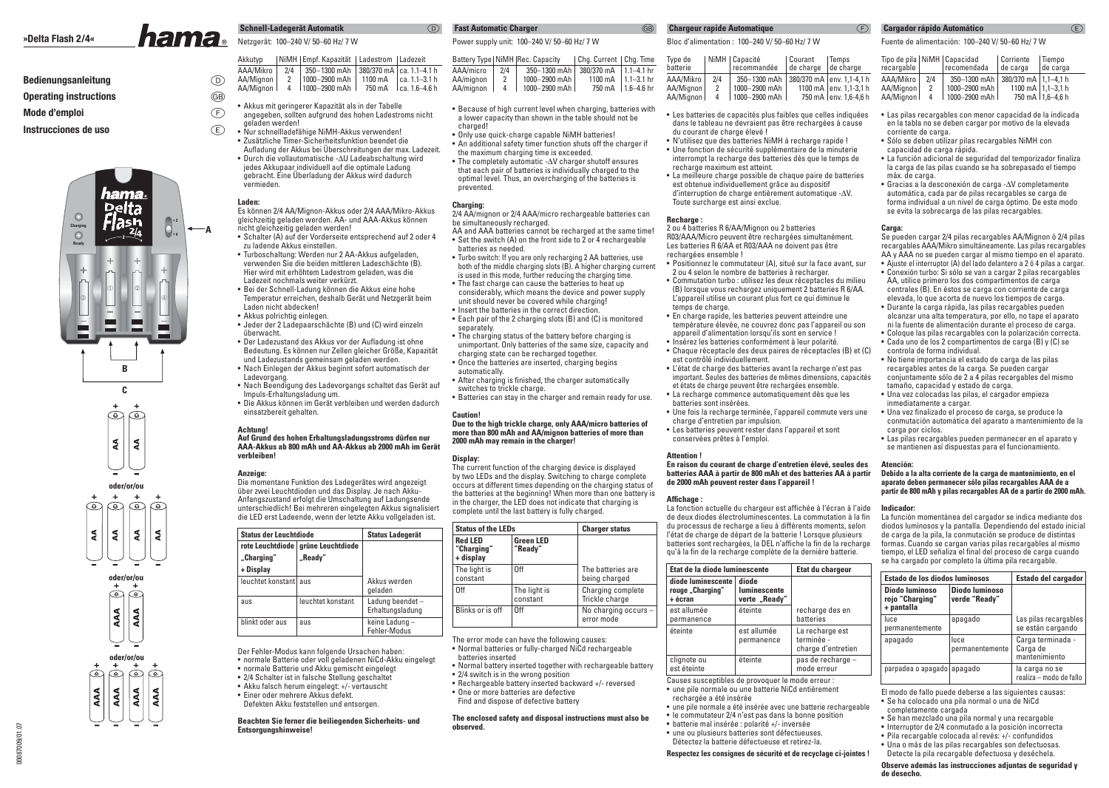# **Bedienungsanleitung**

### **Operating instructions**

**Mode d'emploi** f

### **Instrucciones de uso**





 $\circledcirc$ 

 $\circledcirc$ 

 $\circledcirc$ 

AAA AAA

00087009/01.07

00087009/01.07

|                  | Akkutvp                | NiMH   Empf. Kapazität   Ladestrom   Ladezeit                                                                                                  |  |
|------------------|------------------------|------------------------------------------------------------------------------------------------------------------------------------------------|--|
| $\circled{D}$    | AAA/Mikro<br>AA/Mignon | $2/4$   350-1300 mAh   380/370 mA   ca. 1.1-4.1 h                                                                                              |  |
| $\widehat{\sim}$ | AA/Mianon I            | $\begin{array}{c c c c c c} 2 & 1000-2900 & mAh & 1100 & mA & ca. 1.1-3.1 & h \\ 4 & 1000-2900 & mAh & 750 & mA & ca. 1.6-4.6 & h \end{array}$ |  |

- $\bigoplus$ • Akkus mit geringerer Kapazität als in der Tabelle angegeben, sollten aufgrund des hohen Ladestroms nicht geladen werden!
	- Nur schnellladefähige NiMH-Akkus verwenden!• Zusätzliche Timer-Sicherheitsfunktion beendet die
	- Aufladung der Akkus bei Überschreitungen der max. Ladezeit.• Durch die vollautomatische -∆U Ladeabschaltung wird jedes Akkupaar individuell auf die optimale Ladung gebracht. Eine Überladung der Akkus wird dadurch vermieden.

### **Laden:**

g

e

**A**

 Es können 2/4 AA/Mignon-Akkus oder 2/4 AAA/Mikro-Akkus gleichzeitig geladen werden. AA- und AAA-Akkus können nicht gleichzeitig geladen werden!

- Schalter (A) auf der Vorderseite entsprechend auf 2 oder 4 zu ladende Akkus einstellen.
- Turboschaltung: Werden nur 2 AA-Akkus aufgeladen, verwenden Sie die beiden mittleren Ladeschächte (B). Hier wird mit erhöhtem Ladestrom geladen, was die Ladezeit nochmals weiter verkürzt.
- Bei der Schnell-Ladung können die Akkus eine hohe Temperatur erreichen, deshalb Gerät und Netzgerät beim Laden nicht abdecken! • Akkus polrichtig einlegen.
- Jeder der 2 Ladepaarschächte (B) und (C) wird einzeln überwacht.
- Der Ladezustand des Akkus vor der Aufladung ist ohne Bedeutung. Es können nur Zellen gleicher Größe, Kapazität und Ladezustands gemeinsam geladen werden.
- Nach Einlegen der Akkus beginnt sofort automatisch der Ladevorgang.
- Nach Beendigung des Ladevorgangs schaltet das Gerät auf Impuls-Erhaltungsladung um.
- Die Akkus können im Gerät verbleiben und werden dadurch einsatzbereit gehalten.

### **Achtung!**

### **Auf Grund des hohen Erhaltungsladungsstroms dürfen nur AAA-Akkus ab 800 mAh und AA-Akkus ab 2000 mAh im Gerätverbleiben!**

### **Anzeige:**

 Die momentane Funktion des Ladegerätes wird angezeigt über zwei Leuchtdioden und das Display. Je nach Akku-Anfangszustand erfolgt die Umschaltung auf Ladungsende unterschiedlich! Bei mehreren eingelegten Akkus signalisiert die LED erst Ladeende, wenn der letzte Akku vollgeladen ist.

| <b>Status der Leuchtdiode</b>  |                              | <b>Status Ladegerät</b>             |
|--------------------------------|------------------------------|-------------------------------------|
| rote Leuchtdiode<br>"Charging" | grüne Leuchtdiode<br>"Ready" |                                     |
| + Display                      |                              |                                     |
| leuchtet konstant aus          |                              | Akkus werden<br>qeladen             |
| aus                            | leuchtet konstant            | Ladung beendet-<br>Erhaltungsladung |
| blinkt oder aus                | aus                          | keine Ladung-<br>Fehler-Modus       |

Der Fehler-Modus kann folgende Ursachen haben:

- normale Batterie oder voll geladenen NiCd-Akku eingelegt
- normale Batterie und Akku gemischt eingelegt• 2/4 Schalter ist in falsche Stellung geschaltet
- Akku falsch herum eingelegt: +/- vertauscht
- Einer oder mehrere Akkus defekt.
- Defekten Akku feststellen und entsorgen.

**Beachten Sie ferner die beiliegenden Sicherheits- und Entsorgungshinweise!**

### g

### Power supply unit: 100–240 V/ 50–60 Hz/ 7 W

|           |     | Battery Type   NiMH   Rec. Capacity | Chg. Current   Chg. Time |                            |   |
|-----------|-----|-------------------------------------|--------------------------|----------------------------|---|
| AAA/micro | 2/4 | 350-1300 mAh 380/370 mA 1.1-4.1 hr  |                          |                            |   |
| AA/mianon |     | 1000-2900 mAh                       |                          | 1100 mA $\vert$ 1.1-3.1 hr | А |
| AA/mianon |     | 1000-2900 mAh                       |                          | 750 mA   1.6-4.6 hr        | А |

- Because of high current level when charging, batteries with a lower capacity than shown in the table should not becharged!
- Only use quick-charge capable NiMH batteries!• An additional safety timer function shuts off the charger if
- the maximum charging time is exceeded. • The completely automatic -∆V charger shutoff ensures that each pair of batteries is individually charged to the
- optimal level. Thus, an overcharging of the batteries is prevented.

### **Charging:**

 $\odot$ 

**Fast Automatic Charger**

 2/4 AA/mignon or 2/4 AAA/micro rechargeable batteries can be simultaneously recharged.

- AA and AAA batteries cannot be recharged at the same time! • Set the switch (A) on the front side to 2 or 4 rechargeable batteries as needed.
- Turbo switch: If you are only recharging 2 AA batteries, use both of the middle charging slots (B). A higher charging current is used in this mode, further reducing the charging time.
- The fast charge can cause the batteries to heat up considerably, which means the device and power supply unit should never be covered while charging!
- Insert the batteries in the correct direction.
- Each pair of the 2 charging slots (B) and (C) is monitored separately.
- The charging status of the battery before charging is unimportant. Only batteries of the same size, capacity and charging state can be recharged together.
- Once the batteries are inserted, charging begins automatically.
- After charging is finished, the charger automatically switches to trickle charge.
- Batteries can stay in the charger and remain ready for use.

### **Caution!**

#### **Due to the high trickle charge, only AAA/micro batteries of more than 800 mAh and AA/mignon batteries of more than 2000 mAh may remain in the charger!**

### **Display:**

 The current function of the charging device is displayed by two LEDs and the display. Switching to charge complete occurs at different times depending on the charging status of the batteries at the beginning! When more than one battery is in the charger, the LED does not indicate that charging is complete until the last battery is fully charged.

| <b>Status of the LEDs</b>                 |                             | <b>Charger status</b>               |  |
|-------------------------------------------|-----------------------------|-------------------------------------|--|
| <b>Red LED</b><br>"Charging"<br>+ display | <b>Green LED</b><br>"Ready" |                                     |  |
| The light is<br>constant                  | 0ff                         | The batteries are<br>being charged  |  |
| 0ff                                       | The light is<br>constant    | Charging complete<br>Trickle charge |  |
| Blinks or is off                          | 0ff                         | No charging occurs -<br>error mode  |  |

- The error mode can have the following causes: • Normal batteries or fully-charged NiCd rechargeable batteries inserted
- Normal battery inserted together with rechargeable battery
- 2/4 switch is in the wrong position
- Rechargeable battery inserted backward +/- reversed
- One or more batteries are defective
- Find and dispose of defective battery

**The enclosed safety and disposal instructions must also be observed.**

### **Chargeur rapide Automatique**

### Bloc d'alimentation : 100–240 V/ 50–60 Hz/ 7 W

| Type de   |     | NiMH   Capacité | l Courant | Temps                      |
|-----------|-----|-----------------|-----------|----------------------------|
| batterie  |     | recommandée     | de charge | de charge                  |
| AAA/Mikro | 2/4 | 350-1300 mAh    |           | 380/370 mA env. 1,1-4,1 h  |
| AA/Mignon | 2   | 1000-2900 mAh   |           | 1100 mA $ $ env. 1,1-3,1 h |
| AA/Mignon | 4   | 1000-2900 mAh   |           | 750 mA env. 1,6-4,6 h      |

f

**Cargador rápido Automático**

AA/Mignon 2<br>AA/Mignon 4

corriente de carga.

máx. de carga.

**Carga:**

capacidad de carga rápida.

AA/Mignon |

Fuente de alimentación: 100–240 V/ 50–60 Hz/ 7 WTipo de pila | NiMH | Capacidad | Corriente | Tiempo

AAA/Mikro | 2/4 | 350–1300 mAh | 380/370 mA | 1,1–4,1 h

• Las pilas recargables con menor capacidad de la indicada en la tabla no se deben cargar por motivo de la elevada

• La función adicional de seguridad del temporizador finaliza la carga de las pilas cuando se ha sobrepasado el tiempo

 Se pueden cargar 2/4 pilas recargables AA/Mignon ó 2/4 pilas recargables AAA/Mikro simultáneamente. Las pilas recargables AA y AAA no se pueden cargar al mismo tiempo en el aparato. • Ajuste el interruptor (A) del lado delantero a 2 ó 4 pilas a cargar. • Conexión turbo: Si sólo se van a cargar 2 pilas recargables AA, utilice primero los dos compartimentos de carga centrales (B). En éstos se carga con corriente de carga elevada, lo que acorta de nuevo los tiempos de carga. • Durante la carga rápida, las pilas recargables pueden alcanzar una alta temperatura, por ello, no tape el aparato ni la fuente de alimentación durante el proceso de carga. • Coloque las pilas recargables con la polarización correcta. • Cada uno de los 2 compartimentos de carga (B) y (C) se

 • Gracias a la desconexión de carga -∆V completamente automática, cada par de pilas recargables se carga de forma individual a un nivel de carga óptimo. De este modo se evita la sobrecarga de las pilas recargables.

1000-2900 mAh

• Sólo se deben utilizar pilas recargables NiMH con

2 | 1000–2900 mAh | 1100 mA | 1,1–3,1 h

recargable recomendada de carga

- Les batteries de capacités plus faibles que celles indiquées dans le tableau ne devraient pas être rechargées à cause du courant de charge élevé !
- N'utilisez que des batteries NiMH à recharge rapide ! • Une fonction de sécurité supplémentaire de la minuterie interrompt la recharge des batteries dès que le temps de recharge maximum est atteint.
- La meilleure charge possible de chaque paire de batteries est obtenue individuellement grâce au dispositif d'interruption de charge entièrement automatique -∆V.Toute surcharge est ainsi exclue.

#### **Recharge :**

 2 ou 4 batteries R 6/AA/Mignon ou 2 batteries R03/AAA/Micro peuvent être rechargées simultanément. Les batteries R 6/AA et R03/AAA ne doivent pas être rechargées ensemble !

• Positionnez le commutateur (A), situé sur la face avant, sur

- 2 ou 4 selon le nombre de batteries à recharger. • Commutation turbo : utilisez les deux réceptacles du milieu (B) lorsque vous rechargez uniquement 2 batteries R 6/AA. L'appareil utilise un courant plus fort ce qui diminue le temps de charge.
- En charge rapide, les batteries peuvent atteindre une température élevée, ne couvrez donc pas l'appareil ou son appareil d'alimentation lorsqu'ils sont en service ! • Insérez les batteries conformément à leur polarité.
- Chaque réceptacle des deux paires de réceptacles (B) et (C) est contrôlé individuellement.
- L'état de charge des batteries avant la recharge n'est pas important. Seules des batteries de mêmes dimensions, capacités et états de charge peuvent être rechargées ensemble.• La recharge commence automatiquement dès que les
- batteries sont insérées.
- Une fois la recharge terminée, l'appareil commute vers une charge d'entretien par impulsion.
- Les batteries peuvent rester dans l'appareil et sont conservées prêtes à l'emploi.

### **Attention !**

 **En raison du courant de charge d'entretien élevé, seules des batteries AAA à partir de 800 mAh et des batteries AA à partir de 2000 mAh peuvent rester dans l'appareil !**

### Affichage :

La fonction actuelle du chargeur est affichée à l'écran à l'aide de deux diodes électroluminescentes. La commutation à la fin du processus de recharge a lieu à différents moments, selon l'état de charge de départ de la batterie ! Lorsque plusieurs batteries sont rechargées, la DEL n'affiche la fin de la recharge qu'à la fin de la recharge complète de la dernière batterie.

| Etat de la diode luminescente                     | Etat du chargeur                       |                                                     |
|---------------------------------------------------|----------------------------------------|-----------------------------------------------------|
| diode luminescente<br>rouge "Charging"<br>+ écran | diode<br>luminescente<br>verte "Ready" |                                                     |
| est allumée<br>permanence                         | éteinte                                | recharge des en<br>batteries                        |
| éteinte                                           | est allumée<br>permanence              | La recharge est<br>terminée -<br>charge d'entretien |
| clignote ou<br>est éteinte                        | éteinte                                | pas de recharge -<br>mode erreur                    |

- Causes susceptibles de provoquer le mode erreur : • une pile normale ou une batterie NiCd entièrement
- rechargée a été insérée
- une pile normale a été insérée avec une batterie rechargeable• le commutateur 2/4 n'est pas dans la bonne position
- batterie mal insérée : polarité +/- inversée• une ou plusieurs batteries sont défectueuses.

### **Respectez les consignes de sécurité et de recyclage ci-jointes !**

#### • No tiene importancia el estado de carga de las pilas recargables antes de la carga. Se pueden cargar

 $\mathcal{E}$ 

de carga

750 mA 1,6-4,6 h

- conjuntamente sólo de 2 a 4 pilas recargables del mismo tamaño, capacidad y estado de carga.• Una vez colocadas las pilas, el cargador empieza
- inmediatamente a cargar.

controla de forma individual.

- Una vez finalizado el proceso de carga, se produce la conmutación automática del aparato a mantenimiento de la carga por ciclos.
- Las pilas recargables pueden permanecer en el aparato y se mantienen así dispuestas para el funcionamiento.

### **Atención:**

### **Debido a la alta corriente de la carga de mantenimiento, en el aparato deben permanecer sólo pilas recargables AAA de a partir de 800 mAh y pilas recargables AA de a partir de 2000 mAh.**

#### **Indicador:**

**+ pantalla**

**de desecho.**

permanentemente

parpadea o apagado apagado

completamente cargada

 La función momentánea del cargador se indica mediante dos diodos luminosos y la pantalla. Dependiendo del estado inicial de carga de la pila, la conmutación se produce de distintas formas. Cuando se cargan varias pilas recargables al mismo tiempo, el LED señaliza el final del proceso de carga cuando se ha cargado por completo la última pila recargable.

**Estado de los diodos luminosos Estado del cargador**

luce apagado | Las pilas recargables

apagado luce Carga terminada permanentemente Carga de permanentemente

El modo de fallo puede deberse a las siguientes causas:• Se ha colocado una pila normal o una de NiCd

 • Se han mezclado una pila normal y una recargable • Interruptor de 2/4 conmutado a la posición incorrecta• Pila recargable colocada al revés: +/- confundidos • Una o más de las pilas recargables son defectuosas. Detecte la pila recargable defectuosa y deséchela. **Observe además las instrucciones adjuntas de seguridad y** 

se están cargando

realiza – modo de fallo

 mantenimientola carga no se

**Diodo luminoso Diodo luminosorojo "Charging" verde "Ready"**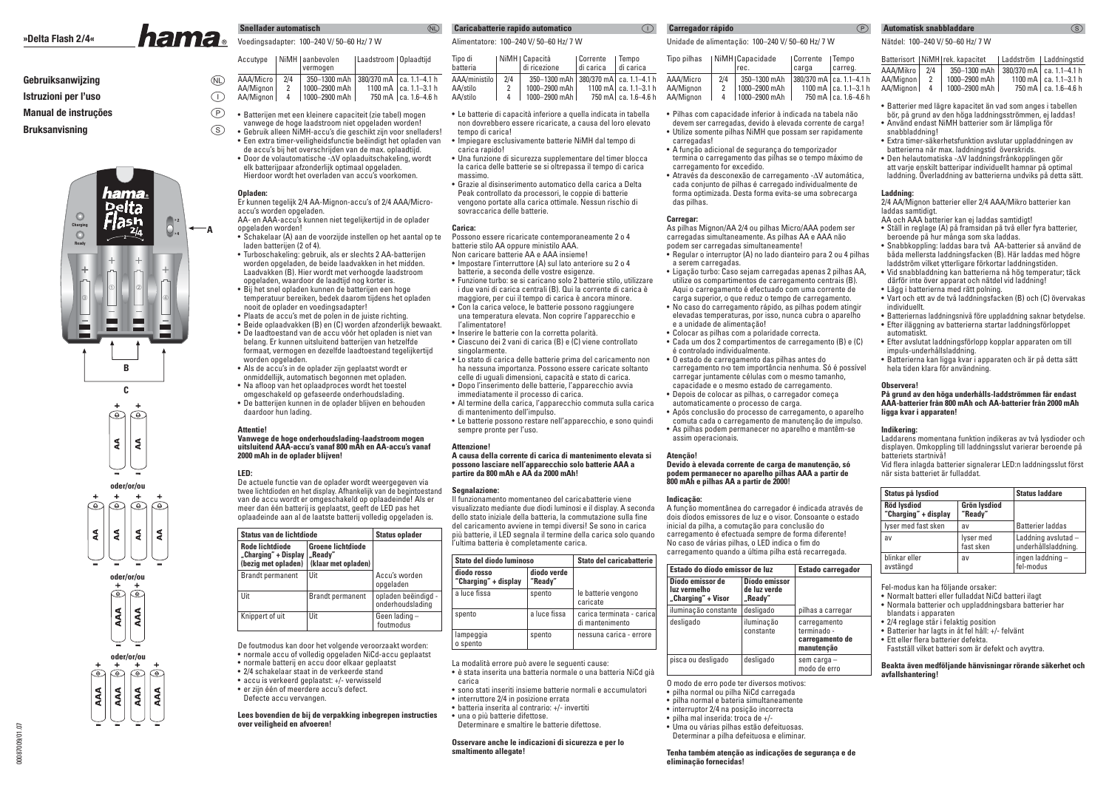### **»Delta Flash 2/4«**

### **Gebruiksanwijzing**

### **Istruzioni per l'uso**

**Manual de instruções**

### **Bruksanvisning**

00087009/01.07

00087009/01.07



### **Snellader automatisch**Voedingsadapter: 100–240 V/ 50–60 Hz/ 7 W

|            | Accutype                            |               | NiMH   aanbevolen<br>vermogen                                                   | Laadstroom   Oplaadtijd |                                                     |
|------------|-------------------------------------|---------------|---------------------------------------------------------------------------------|-------------------------|-----------------------------------------------------|
| (D)<br>(1) | AAA/Micro<br>AA/Mignon<br>AA/Mignon | 2/4<br>2<br>4 | 350-1300 mAh   380/370 mA   ca. 1.1-4.1 h<br>1000-2900 mAh  <br>  1000-2900 mAh |                         | 1100 mA $ $ ca. 1.1-3.1 h<br>750 mA   ca. 1.6–4.6 h |

- $^\circledR$ • Batterijen met een kleinere capaciteit (zie tabel) mogen
	- vanwege de hoge laadstroom niet opgeladen worden!• Gebruik alleen NiMH-accu's die geschikt zijn voor snelladers!
	- Een extra timer-veiligheidsfunctie beëindigt het opladen van de accu's bij het overschrijden van de max. oplaadtijd.• Door de volautomatische -∆V oplaaduitschakeling, wordt
	- elk batterijpaar afzonderlijk optimaal opgeladen. Hierdoor wordt het overladen van accu's voorkomen.

### **Opladen:**

 $\circledS$ 

**A**

 Er kunnen tegelijk 2/4 AA-Mignon-accu's of 2/4 AAA/Microaccu's worden opgeladen. AA- en AAA-accu's kunnen niet tegelijkertijd in de oplader

- opgeladen worden! • Schakelaar (A) aan de voorzijde instellen op het aantal op te laden batterijen (2 of 4).
- Turboschakeling: gebruik, als er slechts 2 AA-batterijen worden opgeladen, de beide laadvakken in het midden. Laadvakken (B). Hier wordt met verhoogde laadstroom opgeladen, waardoor de laadtijd nog korter is.
- Bij het snel opladen kunnen de batterijen een hoge temperatuur bereiken, bedek daarom tijdens het opladen nooit de oplader en voedingsadapter!
- Plaats de accu's met de polen in de juiste richting. • Beide oplaadvakken (B) en (C) worden afzonderlijk bewaakt.
- De laadtoestand van de accu vóór het opladen is niet van belang. Er kunnen uitsluitend batterijen van hetzelfde formaat, vermogen en dezelfde laadtoestand tegelijkertijd worden opgeladen.
- Als de accu's in de oplader zijn geplaatst wordt er onmiddellijk, automatisch begonnen met opladen.
- Na afloop van het oplaadproces wordt het toestel omgeschakeld op gefaseerde onderhoudslading.
- De batterijen kunnen in de oplader blijven en behouden daardoor hun lading.

### **Attentie!**

### **Vanwege de hoge onderhoudslading-laadstroom mogen uitsluitend AAA-accu's vanaf 800 mAh en AA-accu's vanaf 2000 mAh in de oplader blijven!**

### **LED:**

 De actuele functie van de oplader wordt weergegeven via twee lichtdioden en het display. Afhankelijk van de begintoestandvan de accu wordt er omgeschakeld op oplaadeinde! Als er meer dan één batterij is geplaatst, geeft de LED pas het oplaadeinde aan al de laatste batterij volledig opgeladen is.

| Status van de lichtdiode                                              | <b>Status oplader</b>                                      |                                         |
|-----------------------------------------------------------------------|------------------------------------------------------------|-----------------------------------------|
| <b>Rode lichtdiode</b><br>"Charging" + Display<br>(bezig met opladen) | <b>Groene lichtdiode</b><br>"Readv"<br>(klaar met opladen) |                                         |
| <b>Brandt permanent</b>                                               | Uit                                                        | Accu's worden<br>opgeladen              |
| Uit                                                                   | <b>Brandt permanent</b>                                    | opladen beëindigd -<br>onderhoudslading |
| Knippert of uit                                                       | Uit                                                        | Geen lading -<br>foutmodus              |

De foutmodus kan door het volgende veroorzaakt worden:• normale accu of volledig opgeladen NiCd-accu geplaatst

- normale batterij en accu door elkaar geplaatst
- 2/4 schakelaar staat in de verkeerde stand• accu is verkeerd geplaatst: +/- verwisseld
- er zijn één of meerdere accu's defect.
- Defecte accu vervangen.

### **Lees bovendien de bij de verpakking inbegrepen instructies over veiligheid en afvoeren!**

### Alimentatore: 100–240 V/ 50–60 Hz/ 7 W**Caricabatterie rapido automatico**

| Tipo di<br>batteria                   |     | NiMH   Capacità<br>di ricezione                                          | Corrente<br>I di carica | , Tempo<br>l di carica                              | Tipo pilhas                         | I NiMH   |
|---------------------------------------|-----|--------------------------------------------------------------------------|-------------------------|-----------------------------------------------------|-------------------------------------|----------|
| AAA/ministilo<br>AA/stilo<br>AA/stilo | 2/4 | 350-1300 mAh 380/370 mAl ca. 1.1-4.1 h<br>1000-2900 mAh<br>1000-2900 mAh |                         | 1100 mA $ $ ca. 1.1-3.1 h<br>750 mA   ca. 1.6–4.6 h | AAA/Micro<br>AA/Mignon<br>AA/Mianon | 2/4<br>4 |

- Le batterie di capacità inferiore a quella indicata in tabella non dovrebbero essere ricaricate, a causa del loro elevato tempo di carica!
- Impiegare esclusivamente batterie NiMH dal tempo di carica rapido!
- Una funzione di sicurezza supplementare del timer blocca la carica delle batterie se si oltrepassa il tempo di carica massimo.
- Grazie al disinserimento automatico della carica a Delta Peak controllato da processori, le coppie di batterie vengono portate alla carica ottimale. Nessun rischio di sovraccarica delle batterie.

### **Carica:**

 $(D)$ 

 Possono essere ricaricate contemporaneamente 2 o 4 batterie stilo AA oppure ministilo AAA. Non caricare batterie AA e AAA insieme! • Impostare l'interruttore (A) sul lato anteriore su 2 o 4

- batterie, a seconda delle vostre esigenze.
- Funzione turbo: se si caricano solo 2 batterie stilo, utilizzare i due vani di carica centrali (B). Qui la corrente di carica è
- maggiore, per cui il tempo di carica è ancora minore. • Con la carica veloce, le batterie possono raggiungere una temperatura elevata. Non coprire l'apparecchio e
- l'alimentatore!
- Inserire le batterie con la corretta polarità.
- Ciascuno dei 2 vani di carica (B) e (C) viene controllato singolarmente.
- Lo stato di carica delle batterie prima del caricamento non ha nessuna importanza. Possono essere caricate soltanto celle di uguali dimensioni, capacità e stato di carica.
- Dopo l'inserimento delle batterie, l'apparecchio avvia
- immediatamente il processo di carica.
- Al termine della carica, l'apparecchio commuta sulla carica di mantenimento dell'impulso.
- Le batterie possono restare nell'apparecchio, e sono quindi sempre pronte per l'uso.

### **Attenzione!**

### **A causa della corrente di carica di mantenimento elevata sipossono lasciare nell'apparecchio solo batterie AAA a partire da 800 mAh e AA da 2000 mAh!**

#### **Segnalazione:**

 Il funzionamento momentaneo del caricabatterie viene visualizzato mediante due diodi luminosi e il display. A secondadello stato iniziale della batteria, la commutazione sulla fine del caricamento avviene in tempi diversi! Se sono in carica più batterie, il LED segnala il termine della carica solo quando l'ultima batteria è completamente carica.

| Stato del diodo luminoso            | Stato del caricabatterie |                                              |
|-------------------------------------|--------------------------|----------------------------------------------|
| diodo rosso<br>"Charging" + display | diodo verde<br>"Ready"   |                                              |
| a luce fissa                        | spento                   | le batterie vengono<br>caricate              |
| spento                              | a luce fissa             | carica terminata - carica<br>di mantenimento |
| lampeggia<br>o spento               | spento                   | nessuna carica - errore                      |

La modalità errore può avere le seguenti cause:

- è stata inserita una batteria normale o una batteria NiCd già carica
- sono stati inseriti insieme batterie normali e accumulatori
- interruttore 2/4 in posizione errata
- batteria inserita al contrario: +/- invertiti
- una o più batterie difettose.
- Determinare e smaltire le batterie difettose.

### **Osservare anche le indicazioni di sicurezza e per lo smaltimento allegate!**

### **Carregador rápido**

n<sup>1</sup>

**Automatisk snabbladdare** Unidade de alimentação: 100–240 V/ 50–60 Hz/ 7 W

|     |              |                                                            | Tempo                                  |
|-----|--------------|------------------------------------------------------------|----------------------------------------|
|     |              | carga                                                      | carreg.                                |
| 2/4 | 350-1300 mAh |                                                            |                                        |
|     |              |                                                            | 1100 mA   ca. 1.1-3.1 h                |
|     |              |                                                            | 750 mA   ca. 1.6-4.6 h                 |
|     |              | NiMH  Capacidade<br>rec.<br>1000-2900 mAh<br>1000-2900 mAh | Corrente<br>380/370 mA   ca. 1.1-4.1 h |

- Pilhas com capacidade inferior à indicada na tabela não devem ser carregadas, devido à elevada corrente de carga! • Utilize somente pilhas NiMH que possam ser rapidamente carregadas!
- A função adicional de segurança do temporizador termina o carregamento das pilhas se o tempo máximo de
- carregamento for excedido. • Através da desconexão de carregamento -∆V automática, cada conjunto de pilhas é carregado individualmente de forma optimizada. Desta forma evita-se uma sobrecarga das pilhas.

### **Carregar:**

 As pilhas Mignon/AA 2/4 ou pilhas Micro/AAA podem ser carregadas simultaneamente. As pilhas AA e AAA não podem ser carregadas simultaneamente!

- Regular o interruptor (A) no lado dianteiro para 2 ou 4 pilhas a serem carregadas.
- Ligação turbo: Caso sejam carregadas apenas 2 pilhas AA, utilize os compartimentos de carregamento centrais (B).
- Aqui o carregamento é efectuado com uma corrente de carga superior, o que reduz o tempo de carregamento.
- No caso do carregamento rápido, as pilhas podem atingir elevadas temperaturas, por isso, nunca cubra o aparelho e a unidade de alimentação!
- Colocar as pilhas com a polaridade correcta.
- Cada um dos 2 compartimentos de carregamento (B) e (C) é controlado individualmente.
- O estado de carregamento das pilhas antes docarregamento n‹o tem importância nenhuma. Só é possível
- carregar juntamente células com o mesmo tamanho, capacidade e o mesmo estado de carregamento.
- Depois de colocar as pilhas, o carregador começa
- automaticamente o processo de carga.• Após conclusão do processo de carregamento, o aparelho
- comuta cada o carregamento de manutenção de impulso. • As pilhas podem permanecer no aparelho e mantêm-se assim operacionais.

### **Atenção!**

#### **Devido à elevada corrente de carga de manutenção, só podem permanecer no aparelho pilhas AAA a partir de800 mAh e pilhas AA a partir de 2000!**

#### **Indicação:**

A função momentânea do carregador é indicada através de dois díodos emissores de luz e o visor. Consoante o estadoinicial da pilha, a comutação para conclusão do carregamento é efectuada sempre de forma diferente! No caso de várias pilhas, o LED indica o fim do carregamento quando a última pilha está recarregada.

| Estado do díodo emissor de luz                         | <b>Estado carregador</b>                 |                                                              |
|--------------------------------------------------------|------------------------------------------|--------------------------------------------------------------|
| Díodo emissor de<br>luz vermelho<br>"Charging" + Visor | Díodo emissor<br>de luz verde<br>"Ready" |                                                              |
| iluminação constante                                   | desligado                                | pilhas a carregar                                            |
| desligado                                              | iluminação<br>constante                  | carregamento<br>terminado -<br>carregamento de<br>manutenção |
| pisca ou desligado                                     | desligado                                | sem carga -<br>modo de erro                                  |

- O modo de erro pode ter diversos motivos:
- pilha normal ou pilha NiCd carregada
- pilha normal e bateria simultaneamente
- interruptor 2/4 na posição incorrecta
- pilha mal inserida: troca de +/-
- Uma ou várias pilhas estão defeituosas. Determinar a pilha defeituosa e eliminar.

### **Tenha também atenção as indicações de segurança e de eliminação fornecidas!**

snabbladdning!

**Laddning:**

 $\mathcal{P}$ 

laddas samtidigt.

individuellt.

automatiskt.

**Observera!**

**Indikering:**

#### Nätdel: 100–240 V/ 50–60 Hz/ 7 W

|             |     | Batterisort   NiMH   rek. kapacitet | Laddström   Laddningstid       |
|-------------|-----|-------------------------------------|--------------------------------|
| AAA/Mikro   | 2/4 | 350-1300 mAh                        | $380/370$ mA $ $ ca. 1.1-4.1 h |
| AA/Mignon   | 2   | 1000-2900 mAh                       | 1100 mA   ca. 1.1-3.1 h        |
| AA/Mianon I | 4   | 1000-2900 mAh                       | 750 mA ca. 1.6–4.6 h           |

 $\circledS$ 

• Batterier med lägre kapacitet än vad som anges i tabellen bör, på grund av den höga laddningsströmmen, ej laddas!

 • Extra timer-säkerhetsfunktion avslutar uppladdningen av batterierna när max. laddningstid överskrids. • Den helautomatiska -∆V laddningsfrånkopplingen gör att varje enskilt batteripar individuellt hamnar på optimal laddning. Överladdning av batterierna undviks på detta sätt.

2/4 AA/Mignon batterier eller 2/4 AAA/Mikro batterier kan

• Ställ in reglage (A) på framsidan på två eller fyra batterier,

 • Snabbkoppling: laddas bara två AA-batterier så använd de båda mellersta laddningsfacken (B). Här laddas med högre laddström vilket ytterligare förkortar laddningstiden. • Vid snabbladdning kan batterierna nå hög temperatur; täck därför inte över apparat och nätdel vid laddning!

• Vart och ett av de två laddningsfacken (B) och (C) övervakas

 • Batteriernas laddningsnivå före uppladdning saknar betydelse.• Efter iläggning av batterierna startar laddningsförloppet

• Efter avslutat laddningsförlopp kopplar apparaten om till

• Batterierna kan ligga kvar i apparaten och är på detta sätt

 **På grund av den höga underhålls-laddströmmen får endast AAA-batterier från 800 mAh och AA-batterier från 2000 mAh** 

 Laddarens momentana funktion indikeras av två lysdioder och displayen. Omkoppling till laddningsslut varierar beroende på

Vid flera inlagda batterier signalerar LED:n laddningsslut först

**Status på Ivsdiod** Status laddare

lyser med fast sken av Batterier laddas av lyser med Laddning avslutad –

blinkar eller ingen laddning – avstängd fel-modus

 • Normalt batteri eller fulladdat NiCd batteri ilagt • Normala batterier och uppladdningsbara batterier har

Fastställ vilket batteri som är defekt och avyttra.

**Beakta även medföljande hänvisningar rörande säkerhet och** 

fast sken underhållsladdning.

AA och AAA batterier kan ej laddas samtidigt!

beroende på hur många som ska laddas.

• Lägg i batterierna med rätt polning.

impuls-underhållsladdning.

**ligga kvar i apparaten!**

batteriets startnivå!

**Charging" + display** 

blandats i apparaten

**avfallshantering!**

när sista batteriet är fulladdat.

Röd lysdiod<br>"Charging" + display | "Ready"

Fel-modus kan ha följande orsaker:

 • 2/4 reglage står i felaktig position • Batterier har lagts in åt fel håll: +/- felvänt

• Ett eller flera batterier defekta.

hela tiden klara för användning.

• Använd endast NiMH batterier som är lämpliga för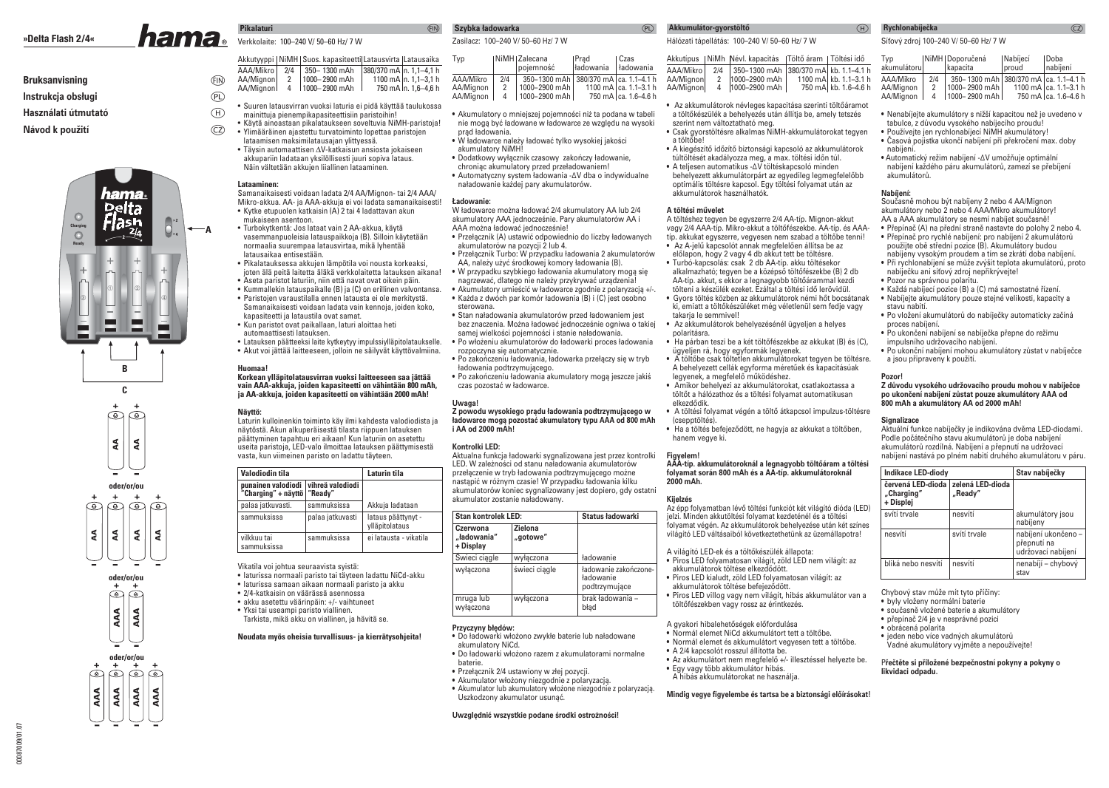## **Bruksanvisning**

## **Instrukcja obsługi**

 **Használati útmutató**

## **Návod k použití**







00087009/01.07

10/0087009 01:07

# Verkkolaite: 100–240 V/ 50–60 Hz/ 7 W

**EIN** Akkutyyppi | NiMH | Suos. kapasiteetti | Latausvirta | Latausaika AAA/Mikro | 2/4 | 350 - 1300 mAh | 380/370 mA n. 1,1 - 4,1 h 1000– 2900 mAh 1100 mA n. 1,1–3,1 hAA/Mignon 2 750 mA $\ln 1.6 - 4.6$  h AA/Mignon  $4 \cdot 1000 - 2900$  mAh

- $^{\textcircled{\tiny{\textsf{P}}}}$  $\textcircled{\scriptsize{H}}$ • Suuren latausvirran vuoksi laturia ei pidä käyttää taulukossa mainittuja pienempikapasiteettisiin paristoihin!
- CZ) • Käytä ainoastaan pikalataukseen soveltuvia NiMH-paristoja!• Ylimääräinen ajastettu turvatoiminto lopettaa paristojen
	- lataamisen maksimilatausajan ylittyessä.• Täysin automaattisen ∆V-katkaisun ansiosta jokaiseen
	- akkupariin ladataan yksilöllisesti juuri sopiva lataus. Näin vältetään akkujen liiallinen lataaminen.

### **Lataaminen:**

**A**

**Pikalaturi**

 Samanaikaisesti voidaan ladata 2/4 AA/Mignon- tai 2/4 AAA/ Mikro-akkua. AA- ja AAA-akkuja ei voi ladata samanaikaisesti!• Kytke etupuolen katkaisin (A) 2 tai 4 ladattavan akun

- mukaiseen asentoon. • Turbokytkentä: Jos lataat vain 2 AA-akkua, käytä vasemmanpuoleisia latauspaikkoja (B). Silloin käytetään normaalia suurempaa latausvirtaa, mikä lyhentää latausaikaa entisestään.
- Pikalatauksessa akkujen lämpötila voi nousta korkeaksi, joten älä peitä laitetta äläkä verkkolaitetta latauksen aikana!
- Aseta paristot laturiin, niin että navat ovat oikein päin.
- Kummallekin latauspaikalle (B) ja (C) on erillinen valvontansa.• Paristojen varaustilalla ennen latausta ei ole merkitystä. Samanaikaisesti voidaan ladata vain kennoja, joiden koko, kapasiteetti ja lataustila ovat samat.
- Kun paristot ovat paikallaan, laturi aloittaa heti automaattisesti latauksen.
- Latauksen päätteeksi laite kytkeytyy impulssiylläpitolataukselle.
- Akut voi jättää laitteeseen, jolloin ne säilyvät käyttövalmiina.

### **Huomaa!**

### **Korkean ylläpitolatausvirran vuoksi laitteeseen saa jättää vain AAA-akkuja, joiden kapasiteetti on vähintään 800 mAh, ja AA-akkuja, joiden kapasiteetti on vähintään 2000 mAh!**

### **Näyttö:**

 Laturin kulloinenkin toiminto käy ilmi kahdesta valodiodista janäytöstä. Akun alkuperäisestä tilasta riippuen latauksen päättyminen tapahtuu eri aikaan! Kun laturiin on asetettu useita paristoja, LED-valo ilmoittaa latauksen päättymisestä vasta, kun viimeinen paristo on ladattu täyteen.

| Valodiodin tila                                            | Laturin tila     |                                      |
|------------------------------------------------------------|------------------|--------------------------------------|
| punainen valodiodi vihreä valodiodi<br>"Charging" + näyttö | "Ready"          |                                      |
| palaa jatkuvasti.                                          | sammuksissa      | Akkuja ladataan                      |
| sammuksissa                                                | palaa jatkuvasti | lataus päättynyt -<br>ylläpitolataus |
| vilkkuu tai<br>sammuksissa                                 | sammuksissa      | ei latausta - vikatila               |

Vikatila voi johtua seuraavista syistä:

- laturissa normaali paristo tai täyteen ladattu NiCd-akku
- laturissa samaan aikaan normaali paristo ja akku
- 2/4-katkaisin on väärässä asennossa
- akku asetettu väärinpäin: +/- vaihtuneet
- Yksi tai useampi paristo viallinen.
- Tarkista, mikä akku on viallinen, ja hävitä se.

### **Noudata myös oheisia turvallisuus- ja kierrätysohjeita!**

### (FIN)

# **Szybka ładowarka**  Zasilacz: 100–240 V/ 50–60 Hz/ 7 W

| Typ       |     | NiMH   Zalecana<br>pojemność              | Prad<br>kadowania | l Czas<br><i>Hadowania</i> |
|-----------|-----|-------------------------------------------|-------------------|----------------------------|
| AAA/Mikro | 2/4 | 350-1300 mAh   380/370 mA   ca. 1.1-4.1 h |                   |                            |
| AA/Mignon | 2   | 1000-2900 mAh                             |                   | 1100 mA   ca. 1.1-3.1 h    |
| AA/Mianon | 4   | 1000-2900 mAh                             |                   | 750 mA ca. 1.6-4.6 h       |

- Akumulatory o mniejszej pojemności niż ta podana w tabeli nie mogą być ładowane w ładowarce ze względu na wysoki prąd ładowania.
- W ładowarce należy ładować tylko wysokiej jakości akumulatory NiMH!
- Dodatkowy wyłącznik czasowy zakończy ładowanie,chroniąc akumulatory przed przeładowaniem!
- Automatyczny system ładowania -ΔV dba o indywidualnenaładowanie każdej pary akumulatorów.

### **Ładowanie:**

 W ładowarce można ładować 2/4 akumulatory AA lub 2/4 akumulatory AAA jednocześnie. Pary akumulatorów AA i AAA można ładować jednocześnie!

- Przełącznik (A) ustawić odpowiednio do liczby ładowanych akumulatorów na pozycji 2 lub 4.
- Przełącznik Turbo: W przypadku ładowania 2 akumulatorów AA, należy użyć środkowej komory ładowania (B).
- W przypadku szybkiego ładowania akumulatory mogą się nagrzewać, dlatego nie należy przykrywać urządzenia!
- Akumulatory umieścić w ładowarce zgodnie z polaryzacją +/-. • Każda z dwóch par komór ładowania (B) i (C) jest osobno sterowana.
- Stan naładowania akumulatorów przed ładowaniem jest bez znaczenia. Można ładować jednocześnie ogniwa o takiej samej wielkości pojemności i stanie naładowania.
- Po włożeniu akumulatorów do ładowarki proces ładowania rozpoczyna się automatycznie.
- Po zakończeniu ładowania, ładowarka przełączy się w tryb ładowania podtrzymującego.
- Po zakończeniu ładowania akumulatory mogą jeszcze jakiś czas pozostać w ładowarce.

### **Uwaga!**

 **Z powodu wysokiego prądu ładowania podtrzymującego w ładowarce mogą pozostać akumulatory typu AAA od 800 mAhi AA od 2000 mAh!**

### **Kontrolki LED:**

 Aktualna funkcja ładowarki sygnalizowana jest przez kontrolki LED. W zależności od stanu naładowania akumulatorów przełączenie w tryb ładowania podtrzymującego możne nastąpić w różnym czasie! W przypadku ładowania kilku akumulatorów koniec sygnalizowany jest dopiero, gdy ostatni akumulator zostanie naładowany.

| <b>Stan kontrolek LED:</b>           |                            | Status ładowarki                                    |  |
|--------------------------------------|----------------------------|-----------------------------------------------------|--|
| Czerwona<br>"ładowania"<br>+ Display | <b>Zielona</b><br>"gotowe" |                                                     |  |
| Świeci ciągle                        | wyłaczona                  | ładowanie                                           |  |
| wyłaczona                            | świeci ciagle              | ładowanie zakończone-<br>ładowanie<br>podtrzymujące |  |
| mruga lub<br>wyłaczona               | wyłączona                  | brak ładowania -<br>bład                            |  |

**Przyczyny błędów:**

- Do ładowarki włożono zwykłe baterie lub naładowane akumulatory NiCd.
- 
- Do ładowarki włożono razem z akumulatorami normalne baterie.
- Przełącznik 2/4 ustawiony w złej pozycji.
- Akumulator włożony niezgodnie z polaryzacją.
- 
- Akumulator lub akumulatory włożone niezgodnie z polaryzacją.Uszkodzony akumulator usunąć.

### **Uwzględnić wszystkie podane środki ostrożności!**

 $(P<sub>L</sub>)$ 

# **Akkumulátor-gyorstöltő** Hálózati tápellátás: 100–240 V/ 50–60 Hz/ 7 W

Akkutípus | NiMh Névl. kapacitás | Töltő áram | Töltési idő AAA/Mikro 2/4 350–1300 mAh 380/370 mAl kb. 1.1–4.1 h AA/Mignon 2 1000–2900 mAh 1 1100 mA kb. 1.1–3.1 h AA/Mignon 4 1000–2900 mAh 2 750 mA kb. 1.6–4.6 h

• Az akkumulátorok névleges kapacitása szerinti töltőáramot a töltőkészülék a behelyezés után állítja be, amely tetszés szerint nem változtatható meg.

- Csak gyorstöltésre alkalmas NiMH-akkumulátorokat tegyen a töltőbe!
- A kiegészítő időzítő biztonsági kapcsoló az akkumulátorok túltöltését akadályozza meg, a max. töltési időn túl.
- A teljesen automatikus -ΔV töltéskapcsoló minden behelyezett akkumulátorpárt az egyedileg legmegfelelőbb optimális töltésre kapcsol. Egy töltési folyamat után az akkumulátorok használhatók.

### **A töltési művelet**

 A töltéshez tegyen be egyszerre 2/4 AA-típ. Mignon-akkut vagy 2/4 AAA-típ. Mikro-akkut a töltőfészekbe. AA-típ. és AAAtíp. akkukat egyszerre, vegyesen nem szabad a töltőbe tenni! • Az A-jelű kapcsolót annak megfelelően állítsa be az előlapon, hogy 2 vagy 4 db akkut tett be töltésre. • Turbó-kapcsolás: csak 2 db AA-típ. akku töltésekor alkalmazható; tegyen be a középső töltőfészekbe (B) 2 db AA-típ. akkut, s ekkor a legnagyobb töltőárammal kezdi

 tölteni a készülék ezeket. Ezáltal a töltési idő lerövidül. • Gyors töltés közben az akkumulátorok némi hőt bocsátanak ki, emiatt a töltőkészüléket még véletlenül sem fedje vagy takaria le semmivel!

- Az akkumulátorok behelyezésénél ügyeljen a helyes polaritásra.
- Ha párban teszi be a két töltőfészekbe az akkukat (B) és (C), ügyeljen rá, hogy egyformák legyenek.
- A töltőbe csak töltetlen akkumulátorokat tegyen be töltésre. A behelyezett cellák egyforma méretűek és kapacitásúak legyenek, a megfelelő működéshez.
- Amikor behelyezi az akkumulátorokat, csatlakoztassa a töltőt a hálózathoz és a töltési folyamat automatikusan elkezdődik.
- A töltési folyamat végén a töltő átkapcsol impulzus-töltésre (csepptöltés).
- Ha a töltés befejeződött, ne hagyja az akkukat a töltőben, hanem vegye ki.

### **Figyelem!**

 **AAA-típ. akkumulátoroknál a legnagyobb töltőáram a töltési folyamat során 800 mAh és a AA-típ. akkumulátoroknál 2000 mAh.**

### **Kijelzés**

 Az épp folyamatban lévő töltési funkciót két világító dióda (LED)jelzi. Minden akkutöltési folyamat kezdeténél és a töltési folyamat végén. Az akkumulátorok behelyezése után két színes világító LED váltásaiból következtethetünk az üzemállapotra!

A világító LED-ek és a töltőkészülék állapota:• Piros LED folyamatosan világít, zöld LED nem világít: az

- akkumulátorok töltése elkezdődött.
- Piros LED kialudt, zöld LED folyamatosan világít: az
- akkumulátorok töltése befejeződött.
- Piros LED villog vagy nem világít, hibás akkumulátor van a töltőfészekben vagy rossz az érintkezés.

A gyakori hibalehetőségek előfordulása

- Normál elemet NiCd akkumulátort tett a töltőbe.
- Normál elemet és akkumulátort vegyesen tett a töltőbe.
- A 2/4 kapcsolót rosszul állította be.
- Az akkumulátort nem megfelelő +/- illesztéssel helyezte be.• Egy vagy több akkumulátor hibás.
- A hibás akkumulátorokat ne használja.

Mindig vegye figyelembe és tartsa be a biztonsági előírásokat!

### $\mathcal{F}$ **Rychlonabíječka** Síťový zdroj 100–240 V/ 50–60 Hz/ 7 W

akumulátoru

nabíjení.

**Nabíjení:**

akumulátorů.

Typ | NiMH Doporučená | Nabíjecí | Doba<br>akumulátoru | kapacita | proud | nabíje

 • Automatický režim nabíjení -ΔV umožňuje optimální nabíjení každého páru akumulátorů, zamezí se přebíjení

 Současně mohou být nabíjeny 2 nebo 4 AA/Mignon akumulátory nebo 2 nebo 4 AAA/Mikro akumulátory!AA a AAA akumulátory se nesmí nabíjet současně! • Přepínač (A) na přední straně nastavte do polohy 2 nebo 4.• Přepínač pro rychlé nabíjení: pro nabíjení 2 akumulátorů použijte obě střední pozice (B). Akumulátory budou nabíjeny vysokým proudem a tím se zkrátí doba nabíjení.• Při rychlonabíjení se může zvýšit teplota akumulátorů, proto

nabíječku ani síťový zdroj nepřikrývejte!

 • Každá nabíjecí pozice (B) a (C) má samostatné řízení. • Nabíjejte akumulátory pouze stejné velikosti, kapacity a

• Po ukončení nabíjení se nabíječka přepne do režimu

• Po vložení akumulátorů do nabíječky automaticky začíná

• Po ukonční nabíjení mohou akumulátory zůstat v nabíječce

 **Z důvodu vysokého udržovacího proudu mohou v nabíječce po ukončení nabíjení zůstat pouze akumulátory AAA od** 

 Aktuální funkce nabíječky je indikována dvěma LED-diodami. Podle počátečního stavu akumulátorů je doba nabíjení akumulátorů rozdílná. Nabíjení a přepnutí na udržovací nabíjení nastává po plném nabití druhého akumulátoru v páru.**Indikace LED-diody** Stav nabíječky

svítí trvale nesvítí akumulátory jsou

nesvítí svítí trvale nabíjení ukončeno –

bliká nebo nesvítí nesvítí nesvítí nenabíjí – chybový

nabíjeny

stav

přepnutí na udržovací nabíjení

• Pozor na správnou polaritu.

impulsního udržovacího nabíjení.

**800 mAh a akumulátory AA od 2000 mAh!**

**červená LED-dioda zelená LED-dioda"Charging" "Ready"**

Chybový stav může mít tyto příčiny:• byly vloženy normální baterie • současně vložené baterie a akumulátory• přepínač 2/4 je v nesprávné pozici

 • jeden nebo více vadných akumulátorů Vadné akumulátory vyjměte a nepoužívejte!

P**řečtěte si přiložené bezpečnostní pokyny a pokyny o** 

• obrácená polarita

**likvidaci odpadu.**

a jsou připraveny k použití.

stavu nabití.

**Pozor!**

**Signalizace**

**+ Displej** 

proces nabíjení.

 AAA/Mikro 2/4 350– 1300 mAh 380/370 mA ca. 1.1–4.1 hAA/Mignon | 2 | 1000– 2900 mAh | 1100 mA | ca. 1.1–3.1 h AA/Mignon | 4 | 1000– 2900 mAh | 750 mA | ca. 1.6–4.6 h • Nenabíjejte akumulátory s nižší kapacitou než je uvedeno v tabulce, z důvodu vysokého nabíjecího proudu! • Používejte jen rychlonabíjecí NiMH akumulátory!• Časová pojistka ukončí nabíjení při překročení max. doby

 $\widehat{CZ}$ 

Inabíiení